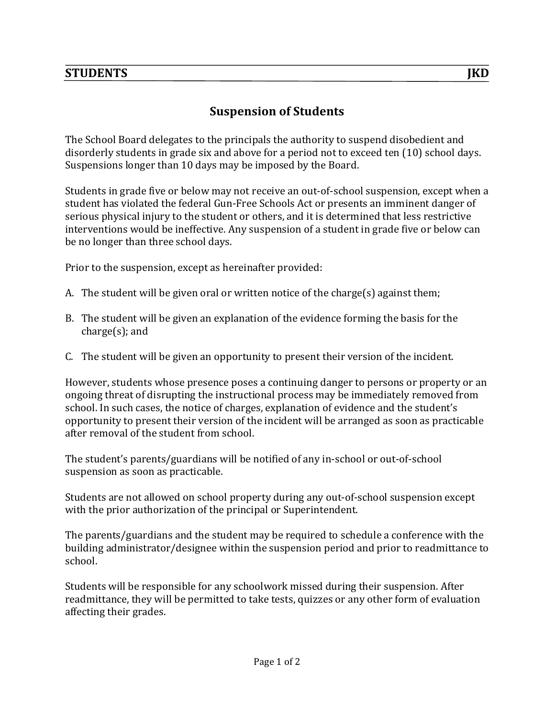The School Board delegates to the principals the authority to suspend disobedient and disorderly students in grade six and above for a period not to exceed ten  $(10)$  school days. Suspensions longer than 10 days may be imposed by the Board.

Students in grade five or below may not receive an out-of-school suspension, except when a student has violated the federal Gun-Free Schools Act or presents an imminent danger of serious physical injury to the student or others, and it is determined that less restrictive interventions would be ineffective. Any suspension of a student in grade five or below can be no longer than three school days.

Prior to the suspension, except as hereinafter provided:

- A. The student will be given oral or written notice of the charge(s) against them;
- B. The student will be given an explanation of the evidence forming the basis for the  $charge(s)$ ; and
- C. The student will be given an opportunity to present their version of the incident.

However, students whose presence poses a continuing danger to persons or property or an ongoing threat of disrupting the instructional process may be immediately removed from school. In such cases, the notice of charges, explanation of evidence and the student's opportunity to present their version of the incident will be arranged as soon as practicable after removal of the student from school.

The student's parents/guardians will be notified of any in-school or out-of-school suspension as soon as practicable.

Students are not allowed on school property during any out-of-school suspension except with the prior authorization of the principal or Superintendent.

The parents/guardians and the student may be required to schedule a conference with the building administrator/designee within the suspension period and prior to readmittance to school.

Students will be responsible for any schoolwork missed during their suspension. After readmittance, they will be permitted to take tests, quizzes or any other form of evaluation affecting their grades.